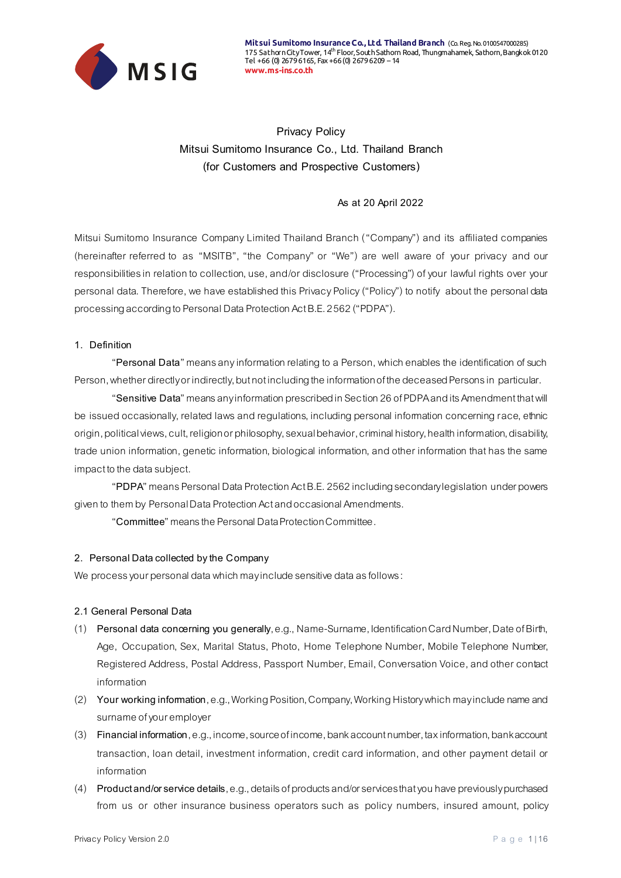

**Privacy Policy Mitsui Sumitomo Insurance Co., Ltd. Thailand Branch (for Customers and Prospective Customers)**

### **As at 20 April 2022**

Mitsui Sumitomo Insurance Company Limited Thailand Branch ("Company") and its affiliated companies (hereinafter referred to as "MSITB", "the Company" or "We") are well aware of your privacy and our responsibilities in relation to collection, use, and/or disclosure ("Processing") of your lawful rights over your personal data. Therefore, we have established this Privacy Policy("Policy") to notify about the personal data processing according to Personal Data Protection Act B.E. 2562("PDPA").

### **1. Definition**

"**Personal Data**" means any information relating to a Person, which enables the identification of such Person, whether directly or indirectly, but not including the information of the deceased Persons in particular.

"**Sensitive Data**" means any information prescribed in Section 26 of PDPAand its Amendment that will be issued occasionally, related laws and regulations, including personal information concerning race, ethnic origin, political views, cult, religion or philosophy, sexual behavior, criminal history, health information, disability, trade union information, genetic information, biological information,and other information that has the same impact to the data subject.

"**PDPA**" means Personal Data Protection Act B.E. 2562 including secondary legislation under powers given to them by Personal Data Protection Act and occasional Amendments.

"**Committee**" means the Personal Data Protection Committee.

### **2. Personal Data collected by the Company**

We process your personal data which may include sensitive data as follows:

#### **2.1 General Personal Data**

- (1) **Personal data concerning you generally**, e.g., Name-Surname, Identification Card Number, Date of Birth, Age, Occupation, Sex, Marital Status, Photo, Home Telephone Number, Mobile Telephone Number, Registered Address, Postal Address, Passport Number, Email, Conversation Voice, and other contact information
- (2) **Your working information**, e.g.,Working Position, Company, Working History which may include name and surname of your employer
- (3) **Financial information**, e.g., income, source of income, bank account number, tax information, bank account transaction, loan detail, investment information, credit card information, and other payment detail or information
- (4) **Product and/or service details**, e.g.,details of products and/or services that you have previously purchased from us or other insurance business operators such as policy numbers, insured amount, policy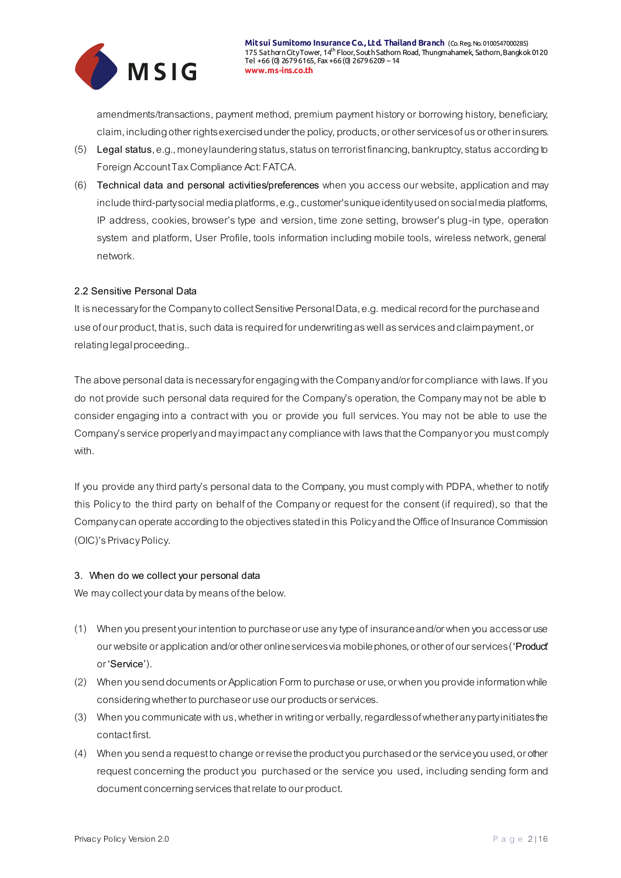

amendments/transactions, payment method, premium payment history or borrowing history, beneficiary, claim, including other rights exercised under the policy, products, or other services of us or other insurers.

- (5) **Legal status**, e.g.,money laundering status, status on terrorist financing, bankruptcy, status according to Foreign Account Tax Compliance Act: FATCA.
- (6) **Technical data and personal activities/preferences** when you access our website, application and may include third-party social media platforms, e.g., customer's unique identity used on social media platforms, IP address, cookies, browser's type and version, time zone setting, browser's plug-in type, operation system and platform, User Profile, tools information including mobile tools, wireless network, general network.

### **2.2 Sensitive Personal Data**

It is necessary for the Company to collect Sensitive Personal Data, e.g. medical record for the purchase and use of our product, that is, such data is required for underwriting as well as services and claim payment, or relating legal proceeding..

The above personal data is necessary for engaging with the Company and/or for compliance with laws. If you do not provide such personal data required for the Company's operation, the Company may not be able to consider engaging into a contract with you or provide you full services. You may not be able to use the Company's service properly and may impact any compliance with laws that the Company or you must comply with.

If you provide any third party's personal data to the Company, you must comply with PDPA, whether to notify this Policyto the third party on behalf of the Company or request for the consent (if required), so that the Company can operate according to the objectives stated in this Policyand the Office of Insurance Commission (OIC)'s Privacy Policy.

### **3. When do we collect your personal data**

We may collect your data by means of the below.

- (1) When you present your intention to purchase or use any type of insurance and/or when youaccess or use our website or application and/or other online services via mobile phones, or other of our services (**'Product'** or **'Service'**).
- (2) When you send documents or Application Form to purchase or use, or when you provide information while considering whether to purchase or use our products or services.
- (3) When you communicate with us, whether in writing or verbally, regardless of whether any party initiates the contact first.
- (4) When you send a request to change or revise the product you purchased or the service you used, or other request concerning the product you purchased or the service you used, including sending form and document concerning services that relate to our product.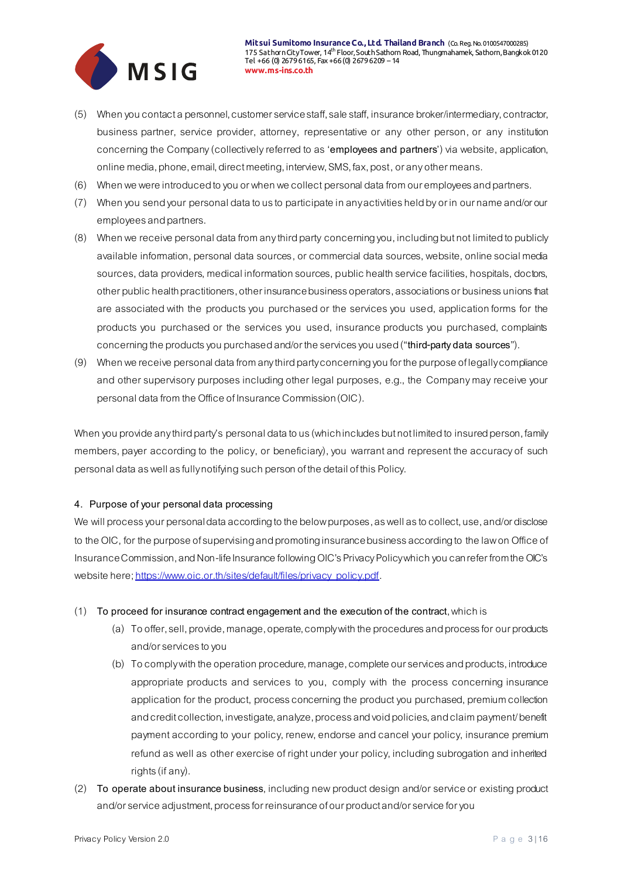

- (5) When you contact a personnel, customer service staff, sale staff, insurance broker/intermediary, contractor, business partner, service provider, attorney, representative or any other person, or any institution concerning the Company (collectivelyreferred to as '**employees and partners**') via website, application, online media, phone, email, direct meeting, interview, SMS, fax, post,or any other means.
- (6) When we were introduced to you or when we collect personal data from our employees and partners.
- (7) When you send your personal data to us to participate in any activities held by or in our name and/or our employees and partners.
- (8) When we receive personal data from any third party concerning you, including butnot limited to publicly available information, personal data sources, or commercial data sources, website, online social media sources, data providers, medical information sources, public health service facilities, hospitals, doctors, other public health practitioners, other insurance business operators, associations or business unions that are associated with the products you purchased or the services you used, application forms for the products you purchased or the services you used, insurance products you purchased, complaints concerning the products you purchasedand/or the services you used ("**third-party data sources**").
- (9) When we receive personal data from any third party concerning you for the purpose of legally compliance and other supervisory purposes including other legal purposes, e.g., the Company may receive your personal data from the Office of Insurance Commission (OIC).

When you provide any third party's personal data to us (which includes but not limited to insured person, family members, payer according to the policy, or beneficiary), you warrant and represent the accuracy of such personal data as well as fully notifying such person of the detail of this Policy.

### **4. Purpose of your personal data processing**

We will process your personal data according to the below purposes, as well as to collect, use, and/or disclose to the OIC, for the purpose of supervising and promoting insurance business according to the law on Office of Insurance Commission, and Non-life Insurance following OIC's Privacy Policy which you can refer from the OIC's website here[; https://www.oic.or.th/sites/default/files/privacy\\_policy.pdf](https://www.oic.or.th/sites/default/files/privacy_policy.pdf).

### (1) **To proceed for insurance contract engagement and the execution of the contract**, which is

- (a) To offer, sell, provide, manage, operate, comply with the procedures and process for our products and/or services to you
- (b) To comply with the operation procedure, manage, complete our services and products, introduce appropriate products and services to you, comply with the process concerning insurance application for the product, process concerning the product you purchased, premium collection and credit collection, investigate, analyze, process and void policies, and claim payment/ benefit payment according to your policy, renew, endorse and cancel your policy, insurance premium refund as well as other exercise of right under your policy, including subrogation and inherited rights (if any).
- (2) **To operate about insurance business**, including new product design and/or service or existing product and/or service adjustment, process for reinsurance of our product and/or service for you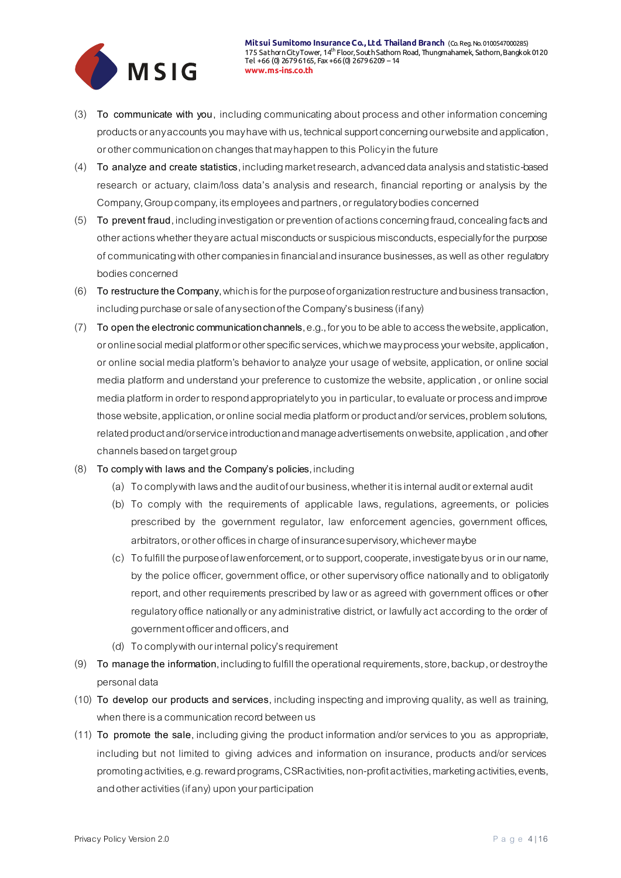

- (3) **To communicate with you**, including communicating about process and other information concerning products or any accounts you may have with us, technical support concerning our website and application, or other communication on changes that may happen to this Policyin the future
- (4) **To analyze and create statistics**, including market research, advanced data analysis and statistic-based research or actuary, claim/loss data's analysis and research, financial reporting or analysis by the Company, Group company, its employees and partners, or regulatory bodiesconcerned
- (5) **To prevent fraud**, including investigation or prevention of actions concerning fraud, concealing facts and other actions whether they are actual misconducts or suspicious misconducts, especially for the purpose of communicating with other companies in financial and insurance businesses, as well as other regulatory bodiesconcerned
- (6) **To restructure the Company**, which is for the purpose of organization restructure and business transaction, including purchase or sale of any section of the Company's business (if any)
- (7) **To open the electronic communication channels**, e.g., for you to be able to access the website, application, or online social medial platform or other specific services, which we may process your website, application, or online social media platform's behavior to analyze your usage of website, application, or online social media platform and understand your preference to customize the website, application, or online social media platformin order to respond appropriately to you in particular, to evaluate or process and improve those website, application, or online social media platform or product and/or services, problem solutions, related product and/or service introduction and manage advertisements on website, application,and other channels based on target group
- (8) **To comply with lawsand the Company's policies**, including
	- (a) To comply with lawsand the audit of our business, whether it is internal audit or external audit
	- (b) To comply with the requirements of applicable laws, regulations, agreements, or policies prescribed by the government regulator, law enforcement agencies, government offices, arbitrators,or other offices in charge of insurance supervisory, whichever maybe
	- (c) To fulfill the purpose of law enforcement, or to support, cooperate, investigate by us or in our name, by the police officer, government office, or other supervisory office nationally and to obligatorily report, and other requirements prescribed by law or as agreed with government offices or other regulatory office nationally or any administrative district, or lawfully act according to the order of government officer and officers, and
	- (d) To comply with our internal policy's requirement
- (9) **To manage the information**, including to fulfill the operational requirements, store, backup,or destroy the personal data
- (10) **To develop our products and services**, including inspecting and improving quality, as well as training, when there is a communication record between us
- (11) **To promote the sale**, including giving the product information and/or services to you as appropriate, including but not limited to giving advices and information on insurance, products and/or services promoting activities, e.g. reward programs, CSR activities, non-profit activities, marketing activities, events, and other activities (if any) upon your participation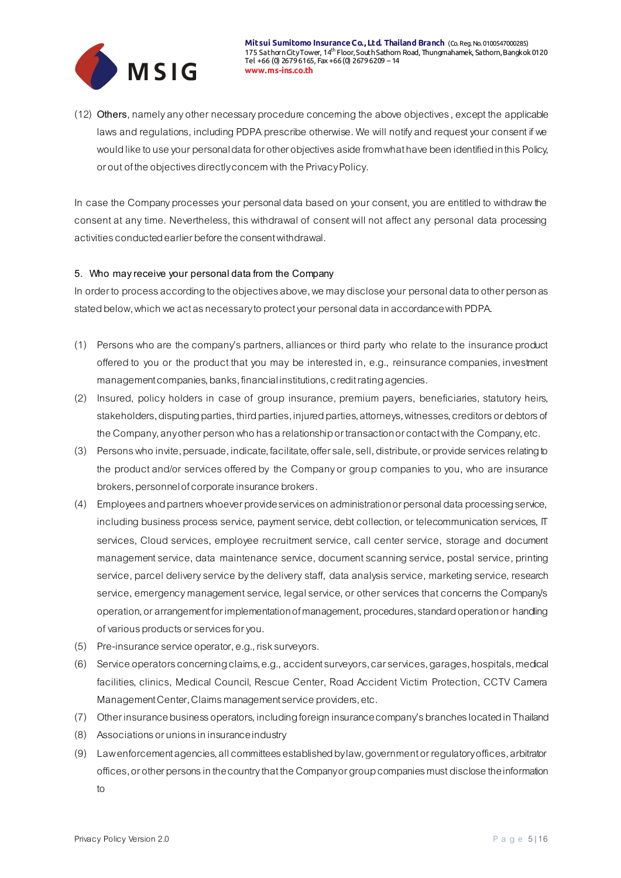

(12) **Others**, namely any other necessary procedure concerning the above objectives,except the applicable lawsand regulations, including PDPA prescribe otherwise. We will notify and request your consent if we would like to use your personal data for other objectives asidefrom what have been identified in this Policy, or out of the objectives directly concern with the Privacy Policy.

In case the Company processes your personal data based on your consent, you are entitled to withdraw the consent at any time. Nevertheless, this withdrawal of consent will not affect any personal data processing activities conducted earlier before the consent withdrawal.

### **5. Who may receive your personal data from the Company**

In order to process according to the objectives above, we may disclose your personal data to other personas stated below, which we act as necessary to protect your personal data in accordance with PDPA.

- (1) Persons who are the company's partners, alliances or third party who relate to the insurance product offered to you or the product that you may be interested in, e.g., reinsurance companies, investment management companies, banks, financial institutions, credit rating agencies.
- (2) Insured, policy holders in case of group insurance, premium payers, beneficiaries, statutory heirs, stakeholders, disputing parties, third parties, injured parties, attorneys, witnesses, creditors or debtors of the Company, any other person who has a relationship or transaction or contact with the Company, etc.
- (3) Persons who invite, persuade, indicate, facilitate, offer sale, sell, distribute,or provide services relating to the product and/or services offered by the Company or group companies to you, who are insurance brokers, personnel of corporate insurance brokers.
- (4) Employees and partners whoever provide services on administration or personal data processing service, including business process service, payment service, debt collection, or telecommunication services, IT services, Cloud services, employee recruitment service, call center service, storage and document management service, data maintenance service, document scanning service, postal service, printing service, parcel delivery service by the delivery staff, data analysis service, marketing service, research service, emergency management service, legal service, or other services that concerns the Company's operation, or arrangement for implementation of management, procedures, standard operation or handling of various products or services for you.
- (5) Pre-insurance service operator, e.g., risksurveyors.
- (6) Service operatorsconcerning claims, e.g.,accident surveyors, car services, garages, hospitals, medical facilities, clinics, Medical Council, Rescue Center, Road Accident Victim Protection, CCTV Camera Management Center, Claims management service providers, etc.
- (7) Other insurance business operators, including foreign insurance company's branches located in Thailand
- (8) Associations or unions in insurance industry
- (9) Law enforcement agencies, all committees established by law, government or regulatory offices, arbitrator offices, or other persons in the country that the Company or group companies must disclose the information to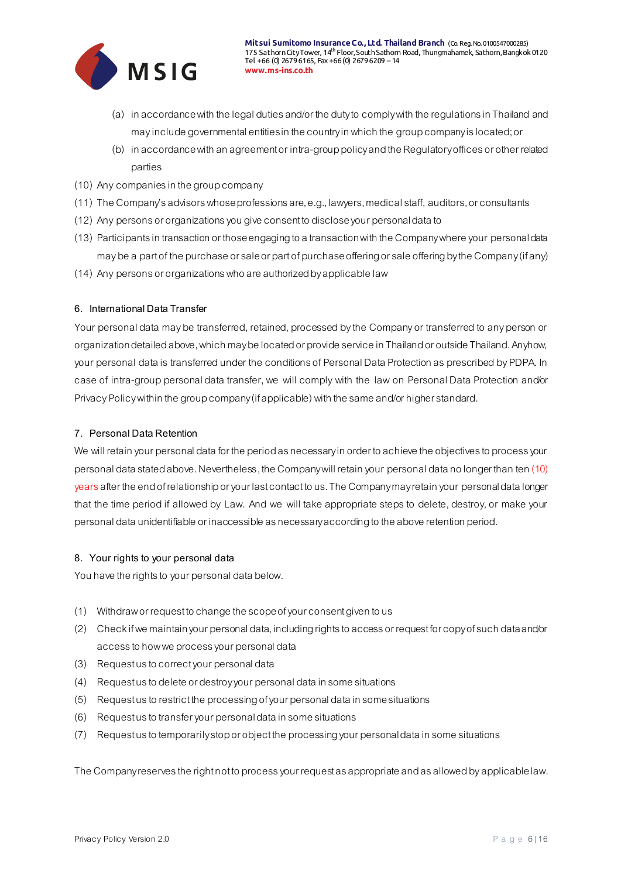

- (a) in accordance with the legal duties and/or the duty to comply with the regulations in Thailand and may include governmental entities in the country in which the group companyis located; or
- (b) in accordance with an agreement or intra-group policyand the Regulatory offices or other related parties
- (10) Any companies in the group company
- (11) The Company's advisors whose professions are, e.g., lawyers, medical staff, auditors,or consultants
- (12) Any personsor organizationsyou giveconsent to disclose your personal data to
- (13) Participants in transaction or those engaging to a transaction with the Company where your personal data may be a part of the purchase or sale or part of purchase offering or sale offering by the Company (if any)
- (14) Any personsor organizationswho are authorized by applicable law

### **6. International Data Transfer**

Your personal data may be transferred, retained, processed by the Company or transferred to any person or organization detailed above, which may be located or provide service in Thailand or outside Thailand. Anyhow, your personal data is transferred under the conditions of Personal Data Protection as prescribed by PDPA. In case of intra-group personal data transfer, we will comply with the law on Personal Data Protection and/or Privacy Policywithin the group company (if applicable) with the same and/or higher standard.

### **7. Personal Data Retention**

We will retain your personal data for the period as necessary in order to achieve the objectives to process your personal data stated above. Nevertheless, the Company will retain your personal data no longer than ten (10) years after the end of relationship or your last contact to us. The Company may retain your personal data longer that the time period if allowed by Law. And we will take appropriate steps to delete, destroy, or make your personal data unidentifiable or inaccessible as necessary according to the above retention period.

### **8. Your rights to your personal data**

You have the rights to your personal data below.

- (1) Withdraw or request to change the scope of your consent given to us
- (2) Check if we maintain your personal data, including rights to access or request for copy of such data and/or access to how we process your personal data
- (3) Request us to correct your personal data
- (4) Request us to delete or destroy your personal data in some situations
- (5) Request us to restrict the processing ofyour personal data in some situations
- (6) Request us to transfer your personal data in some situations
- (7) Request us to temporarilystop or object the processing your personal data in some situations

The Company reserves the right not to process your request as appropriate and as allowed by applicable law.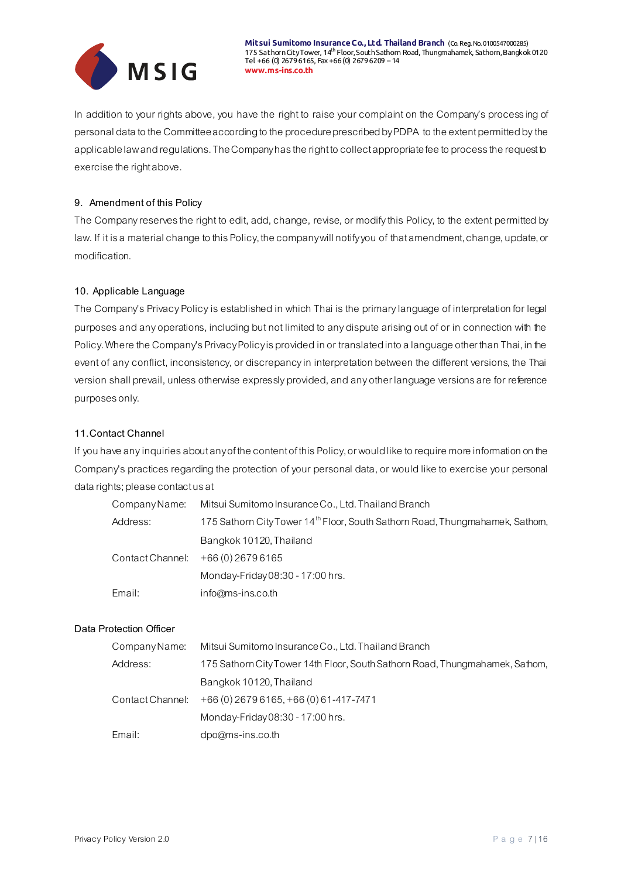

In addition to your rights above, you have the right to raise your complaint on the Company's processing of personal data to the Committee according to the procedure prescribed by PDPA to the extent permitted bythe applicable law and regulations. The Company has the right to collect appropriate fee to process the request to exercise the right above.

### **9. Amendment of this Policy**

The Company reserves the right to edit, add, change, revise, or modify this Policy, to the extent permitted by law. If it is a material change to this Policy, the company will notify you of that amendment, change, update, or modification.

### **10. Applicable Language**

The Company's Privacy Policy is established in which Thai is the primary language of interpretation for legal purposes and any operations, including but not limited to any dispute arising out of or in connection with the Policy. Where the Company's Privacy Policy is provided in or translated into a language other than Thai, in the event of any conflict, inconsistency, or discrepancy in interpretation between the different versions, the Thai version shall prevail, unless otherwise expressly provided, and any other language versions are for reference purposes only.

### **11.Contact Channel**

If you have any inquiries about any of the content of this Policy, or would like to require more information on the Company's practices regarding the protection of your personal data, or would like to exercise your personal data rights; please contact us at

| Company Name:    | Mitsui Sumitomo Insurance Co., Ltd. Thailand Branch                                      |
|------------------|------------------------------------------------------------------------------------------|
| Address:         | 175 Sathorn City Tower 14 <sup>th</sup> Floor, South Sathorn Road, Thungmahamek, Sathom, |
|                  | Bangkok 10120, Thailand                                                                  |
| Contact Channel: | +66 (0) 2679 6165                                                                        |
|                  | Monday-Friday 08:30 - 17:00 hrs.                                                         |
| Email:           | info@ms-ins.co.th                                                                        |

### **Data Protection Officer**

| Company Name:    | Mitsui Sumitomo Insurance Co., Ltd. Thailand Branch                          |
|------------------|------------------------------------------------------------------------------|
| Address:         | 175 Sathorn City Tower 14th Floor, South Sathorn Road, Thungmahamek, Sathom, |
|                  | Bangkok 10120, Thailand                                                      |
| Contact Channel: | $+66(0)$ 2679 6165, $+66(0)$ 61-417-7471                                     |
|                  | Monday-Friday 08:30 - 17:00 hrs.                                             |
| Email:           | dpo@ms-ins.co.th                                                             |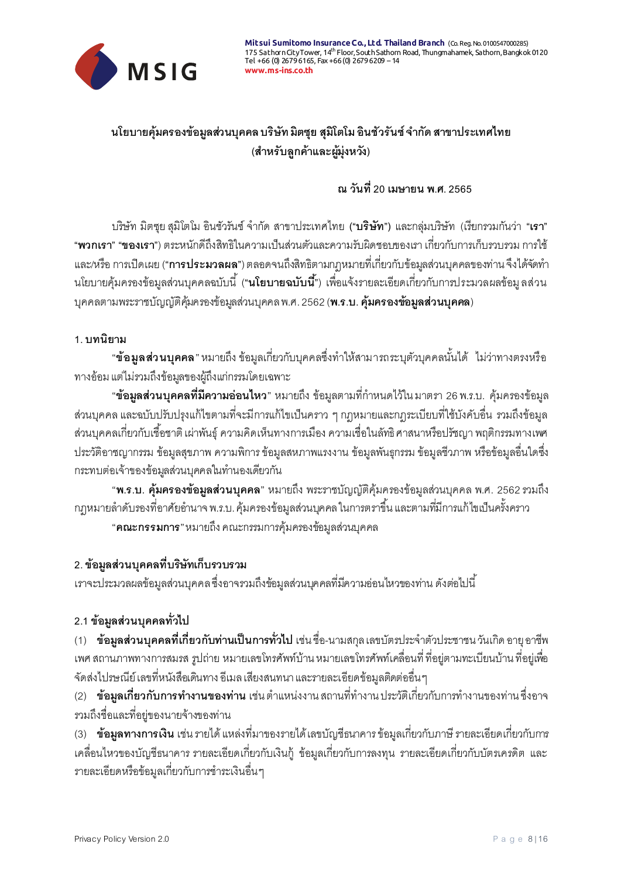

# นโยบายคุ้มครองข้อมูลส่วนบุคคล บริษัท มิตซุย สุมิโตโม อินชัวรันซ์ จำกัด สาขาประเทศไทย **(ส าหรับลูกค้าและผู้มุ่งหวัง)**

# **ณ วันที่20 เมษายน พ.ศ. 2565**

บริษัท มิตซุย สุมิโตโม อินชัวรันซ์ จ ำกัด สำขำประเทศไทย **("บริษัท")** และกลุ่มบริษัท (เรียกรวมกันว่ำ **"เรา" "พวกเรา" "ของเรา"**) ตระหนักดีถึงสิทธิในควำมเป็นส่วนตัวและควำมรับผิดชอบของเรำ เกี่ยวกับกำรเก็บรวบรวม กำรใช้ ี และ/หรือ การเปิดเผย (**"การประมวลผล**") ตลอดจนถึงสิทธิตามกฎหมายที่เกี่ยวกับข้อมูลส่วนบุคคลของท่าน จึงได้จัดทำ นโยบำยคุ้มครองข้อมูลส่วนบุคคลฉบับนี ้(**"นโยบายฉบับนี้"**) เพื่อแจ้งรำยละเอียดเกี่ยวกับกำรประมวลผลข้อมู ลส่วน บุคคลตำมพระรำชบัญญัติคุ้มครองข้อมูลส่วนบุคคล พ.ศ. 2562(**พ.ร.บ. คุ้มครองข้อมูลส่วนบุคคล**)

### **1. บทนิยาม**

"**ข้อมูลส่วนบุคคล**" หมายถึง ข้อมูลเกี่ยวกับบุคคลซึ่งทำให้สามารถระบุตัวบุคคลนั้นได้ ไม่ว่าทางตรงหรือ ทำงอ้อม แต่ไม่รวมถึงข้อมูลของผู้ถึงแก่กรรมโดยเฉพำะ

้ **ข้อมูลส่วนบุคคลที่มีความอ่อนไหว**" หมายถึง ข้อมูลตามที่กำหนดไว้ใน มาตรา 26 พ.ร.บ. คุ้มครองข้อมูล ส่วนบุคคล และฉบับปรับปรุงแก้ไขตำมที่จะมีกำรแก้ไขเป็นครำว ๆ กฎหมำยและกฎระเบียบที่ใช้บังคับอื่น รวมถึงข้อมูล ้ ส่วนบุคคลเกี่ยวกับเชื้อชาติ เผ่าพันธุ์ ความคิดเห็นทางการเมือง ความเชื่อในลัทธิ ศาสนาหรือปรัชญา พฤติกรรมทางเพศ ประวัติอำชญำกรรม ข้อมูลสุขภำพ ควำมพิกำร ข้อมูลสหภำพแรงงำน ข้อมูลพันธุกรรม ข้อมูลชีวภำพ หรือข้อมูลอื่นใดซึ่ง กระทบต่อเจ้าของข้อมูลส่วนบุคคลในทำนองเดียวกัน

"**พ.ร.บ. คุ้มครองข้อมูลส่วนบุคคล**" หมำยถึง พระรำชบัญญัติคุ้มครองข้อมูลส่วนบุคคล พ.ศ. 2562รวมถึง ึกภุหมายลำดับรองที่อาศัยอำนาจ พ.ร.บ. คุ้มครองข้อมูลส่วนบุคคล ในการตราขึ้น และตามที่มีการแก้ไขเป็นครั้งคราว

"**คณะกรรมการ**" หมำยถึง คณะกรรมกำรคุ้มครองข้อมูลส่วนบุคคล

# **2. ข้อมูลส่วนบุคคลที่บริษัทเก็บรวบรวม**

เรำจะประมวลผลข้อมูลส่วนบุคคล ซึ่งอำจรวมถึงข้อมูลส่วนบุคคลที่มีควำมอ่อนไหวของท่ำน ดังต่อไปนี ้

## **2.1 ข้อมูลส่วนบุคคลทั่วไป**

(1) **ข้อมูลส่วนบุคคลที่เกี่ยวกับท่านเป็นการทั่วไป** เช่น ชื่อ-นำมสกุล เลขบัตรประจ ำตัวประชำชน วันเกิด อำยุ อำชีพ เพศ สถำนภำพทำงกำรสมรส รูปถ่ำย หมำยเลขโทรศัพท์บ้ำน หมำยเลขโทรศัพท์เคลื่อนที่ ที่อยู่ตำมทะเบียนบ้ำน ที่อยู่เพื่อ จัดส่งไปรษณีย์ เลขที่หนังสือเดินทำง อีเมล เสียงสนทนำ และรำยละเอียดข้อมูลติดต่ออื่น ๆ

ี (2) **ข้อมูลเกี่ยวกับการทำงานของท่าน** เช่น ตำแหน่งงาน สถานที่ทำงาน ประวัติเกี่ยวกับการทำงานของท่าน ซึ่งอาจ รวมถึงชื่อและที่อยู่ของนำยจ้ำงของท่ำน

(3) **ข้อมูลทางการเงิน** เช่น รำยได้ แหล่งที่มำของรำยได้ เลขบัญชีธนำคำร ข้อมูลเกี่ยวกับภำษี รำยละเอียดเกี่ยวกับกำร เคลื่อนไหวของบัญชีธนำคำร รำยละเอียดเกี่ยวกับเงินกู้ข้อมูลเกี่ยวกับกำรลงทุน รำยละเอียดเกี่ยวกับบัตรเครดิต และ รำยละเอียดหรือข้อมูลเกี่ยวกับกำรช ำระเงินอื่น ๆ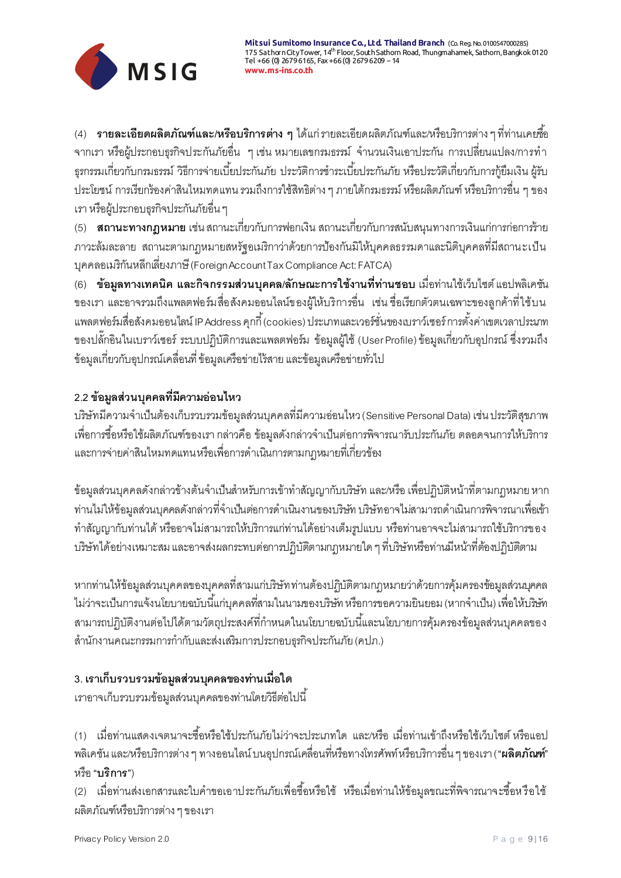

้ (4) **รายละเอียดผลิตภัณฑ์และ/หรือบริการต่าง ๆ** ได้แก่ รายละเอียดผลิตภัณฑ์และ/หรือบริการต่าง ๆ ที่ท่านเคยซื้อ จากเรา หรือผู้ประกอบธุรกิจประกันภัยอื่น ๆ เช่น หมายเลขกรมธรรม์ จำนวนเงินเอาประกัน การเปลี่ยนแปลง/การทำ ธุรกรรมเกี่ยวกับกรมธรรม์ วิธีการจ่ายเบี้ยประกันภัย ประวัติการชำระเบี้ยประกันภัย หรือประวัติเกี่ยวกับการกู้ยืมเงิน ผู้รับ ประโยชน์ กำรเรียกร้องค่ำสินไหมทดแทน รวมถึงกำรใช้สิทธิต่ำง ๆ ภำยใต้กรมธรรม์ หรือผลิตภัณฑ์ หรือบริกำรอื่น ๆ ของ เรำ หรือผู้ประกอบธุรกิจประกันภัยอื่น ๆ

(5) **สถานะทางกฎหมาย** เช่น สถำนะเกี่ยวกับกำรฟอกเงิน สถำนะเกี่ยวกับกำรสนับสนุนทำงกำรเงินแก่กำรก่อกำรร้ำย ภำวะล้มละลำย สถำนะตำมกฎหมำยสหรัฐอเมริกำว่ำด้วยกำรป้องกันมิให้บุคคลธรรมดำและนิติบุคคลที่มีสถำนะเป็น บุคคลอเมริกันหลีกเลี่ยงภำษี(Foreign Account Tax Compliance Act: FATCA)

(6) **ข้อมูลทางเทคนิค และกิจกรรมส่วนบุคคล/ลักษณะการใช้งานที่ท่านชอบ** เมื่อท่ำนใช้เว็บไซต์ แอปพลิเคชัน ของเรำ และอำจรวมถึงแพลตฟอร์มสื่อสังคมออนไลน์ของผู้ให้บริกำรอื่น เช่น ชื่อเรียกตัวตนเฉพำะของลูกค้ำที่ใช้บน แพลตฟอร์มสื่อสังคมออนไลน์IP Address คุกกี ้ (cookies) ประเภทและเวอร์ชั่นของเบรำว์เซอร์ กำรตั ้งค่ำเขตเวลำประเภท ของปลั๊กอินในเบรำว์เซอร์ ระบบปฏิบัติกำรและแพลตฟอร์ม ข้อมูลผู้ใช้ (User Profile) ข้อมูลเกี่ยวกับอุปกรณ์ ซึ่งรวมถึง ข้อมูลเกี่ยวกับอุปกรณ์เคลื่อนที่ ข้อมูลเครือข่ำยไร้สำย และข้อมูลเครือข่ำยทั่วไป

# **2.2 ข้อมูลส่วนบุคคลที่มีความอ่อนไหว**

บริษัทมีควำมจ ำเป็นต้องเก็บรวบรวมข้อมูลส่วนบุคคลที่มีควำมอ่อนไหว (Sensitive Personal Data) เช่น ประวัติสุขภำพ เพื่อการซื้อหรือใช้ผลิตภัณฑ์ของเรา กล่าวคือ ข้อมูลดังกล่าวจำเป็นต่อการพิจารณารับประกันภัย ตลอดจนการให้บริการ และกำรจ่ำยค่ำสินไหมทดแทน หรือเพื่อกำรด ำเนินกำรตำมกฎหมำยที่เกี่ยวข้อง

ข้อมูลส่วนบุคคลดังกล่าวข้างต้นจำเป็นสำหรับการเข้าทำสัญญากับบริษัท และ/หรือ เพื่อปฏิบัติหน้าที่ตามกฎหมาย หาก ท่านไม่ให้ข้อมูลส่วนบุคคลดังกล่าวที่จำเป็นต่อการดำเนินงานของบริษัท บริษัทอาจไม่สามารถดำเนินการพิจารณาเพื่อเข้า ท ำสัญญำกับท่ำนได้หรืออำจไม่สำมำรถให้บริกำรแก่ท่ำนได้อย่ำงเต็มรูปแบบ หรือท่ำนอำจจะไม่สำมำรถใช้บริกำรของ บริษัทได้อย่ำงเหมำะสม และอำจส่งผลกระทบต่อกำรปฏิบัติตำมกฎหมำยใด ๆ ที่บริษัทหรือท่ำนมีหน้ำที่ต้องปฏิบัติตำม

หำกท่ำนให้ข้อมูลส่วนบุคคลของบุคคลที่สำมแก่บริษัท ท่ำนต้องปฏิบัติตำมกฎหมำยว่ำด้วยกำรคุ้มครองข้อมูลส่วนบุคคล ไม่ว่าจะเป็นการแจ้งนโยบายฉบับนี้แก่บุคคลที่สามในนามของบริษัท หรือการขอความยินยอม (หากจำเป็น) เพื่อให้บริษัท ี สามารถปฏิบัติงานต่อไปได้ตามวัตถุประสงค์ที่กำหนดในนโยบายฉบับนี้และนโยบายการคุ้มครองข้อมูลส่วนบุคคลของ สำนักงานคณะกรรมการกำกับและส่งเสริมการประกอบธุรกิจประกันภัย (คปภ.)

# **3. เราเก็บรวบรวมข้อมูลส่วนบุคคลของท่านเมื่อใด**

เรำอำจเก็บรวบรวมข้อมูลส่วนบุคคลของท่ำนโดยวิธีต่อไปนี ้

(1) เมื่อท่านแสดงเจตนาจะซื้อหรือใช้ประกันภัยไม่ว่าจะประเภทใด และ/หรือ เมื่อท่านเข้าถึงหรือใช้เว็บไซต์ หรือแอป พลิเคชัน และ/หรือบริกำรต่ำง ๆ ทำงออนไลน์ บนอุปกรณ์เคลื่อนที่หรือทำงโทรศัพท์ หรือบริกำรอื่น ๆ ของเรำ (**"ผลิตภัณฑ์"**  หรือ**"บริการ"**)

(2) เมื่อท่านส่งเอกสารและใบคำขอเอาประกันภัยเพื่อซื้อหรือใช้ หรือเมื่อท่านให้ข้อมูลขณะที่พิจารณาจะซื้อหรือใช้ ผลิตภัณฑ์หรือบริกำรต่ำง ๆ ของเรำ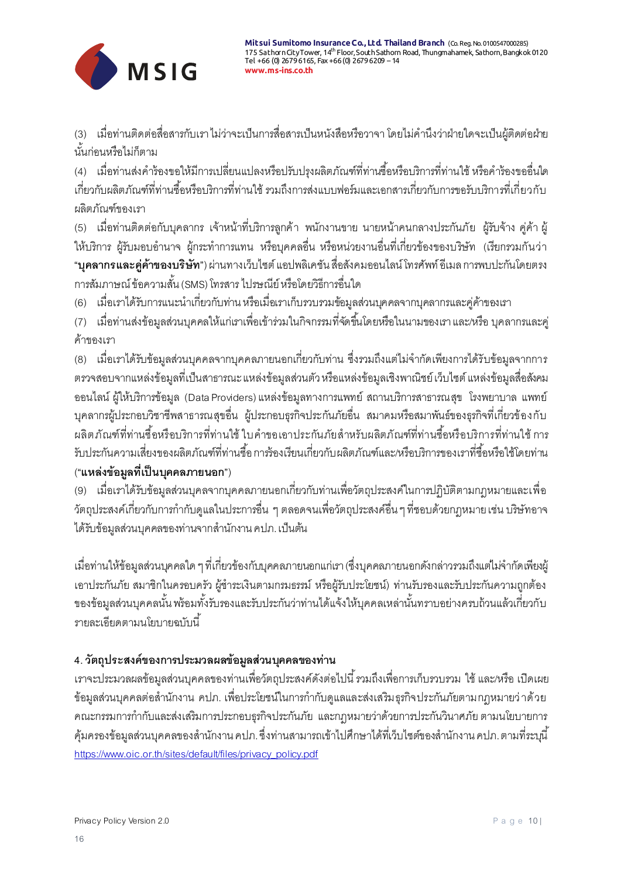

(3) เมื่อท่ำนติดต่อสื่อสำรกับเรำ ไม่ว่ำจะเป็นกำรสื่อสำรเป็นหนังสือหรือวำจำ โดยไม่ค ำนึงว่ำฝ่ำยใดจะเป็นผู้ติดต่อฝ่ำย นั ้นก่อนหรือไม่ก็ตำม

(4) เมื่อท่านส่งคำร้องขอให้มีการเปลี่ยนแปลงหรือปรับปรุงผลิตภัณฑ์ที่ท่านซื้อหรือบริการที่ท่านใช้ หรือคำร้องขออื่นใด เกี่ยวกับผลิตภัณฑ์ที่ท่านซื้อหรือบริการที่ท่านใช้ รวมถึงการส่งแบบฟอร์มและเอกสารเกี่ยวกับการขอรับบริการที่เกี่ยวกับ ผลิตภัณฑ์ของเรำ

(5) เมื่อท่ำนติดต่อกับบุคลำกร เจ้ำหน้ำที่บริกำรลูกค้ำ พนักงำนขำย นำยหน้ำคนกลำงประกันภัย ผู้รับจ้ำง คู่ค้ำ ผู้ ให้บริการ ผู้รับมอบอำนาจ ผู้กระทำการแทน หรือบุคคลอื่น หรือหน่วยงานอื่นที่เกี่ยวข้องของบริษัท (เรียกรวมกันว่า **"บุคลากรและคู่ค้าของบริษัท"**) ผ่ำนทำงเว็บไซต์ แอปพลิเคชัน สื่อสังคมออนไลน์ โทรศัพท์ อีเมล กำรพบปะกันโดยตรง การสัมภาษณ์ ข้อความสั้น (SMS) โทรสาร ไปรษณีย์ หรือโดยวิธีการอื่นใด

(6) เมื่อเราได้รับการแนะนำเกี่ยวกับท่าน หรือเมื่อเราเก็บรวบรวมข้อมูลส่วนบุคคลจากบุคลากรและคู่ค้าของเรา

(7) เมื่อท่านส่งข้อมูลส่วนบุคคลให้แก่เราเพื่อเข้าร่วมในกิจกรรมที่จัดขึ้นโดยหรือในนามของเรา และ/หรือ บุคลากรและคู่ ค้ำของเรำ

(8) เมื่อเรำได้รับข้อมูลส่วนบุคคลจำกบุคคลภำยนอกเกี่ยวกับท่ำน ซึ่งรวมถึงแต่ไม่จ ำกัดเพียงกำรได้รับข้อมูลจำกกำร ตรวจสอบจำกแหล่งข้อมูลที่เป็นสำธำรณะ แหล่งข้อมูลส่วนตัว หรือแหล่งข้อมูลเชิงพำณิชย์ เว็บไซต์ แหล่งข้อมูลสื่อสังคม ออนไลน์ ผู้ให้บริกำรข้อมูล (Data Providers) แหล่งข้อมูลทำงกำรแพทย์ สถำนบริกำรสำธำรณสุข โรงพยำบำล แพทย์ บุคลำกรผู้ประกอบวิชำชีพสำธำรณสุขอื่น ผู้ประกอบธุรกิจประกันภัยอื่น สมำคมหรือสมำพันธ์ของธุรกิจที่เกี่ยวข้องกับ ผลิตภัณฑ์ที่ท่านซื้อหรือบริการที่ท่านใช้ ใบคำขอเอาประกันภัยสำหรับผลิตภัณฑ์ที่ท่านซื้อหรือบริการที่ท่านใช้ การ ้รับประกันความเสี่ยงของผลิตภัณฑ์ที่ท่านซื้อ การร้องเรียนเกี่ยวกับผลิตภัณฑ์และ/หรือบริการของเราที่ซื้อหรือใช้โดยท่าน

# (**"แหล่งข้อมูลที่เป็นบุคคลภายนอก"**)

(9) เมื่อเรำได้รับข้อมูลส่วนบุคลจำกบุคคลภำยนอกเกี่ยวกับท่ำนเพื่อวัตถุประสงค์ในกำรปฏิบัติตำมกฎหมำยและเพื่อ ้วัตถุประสงค์เกี่ยวกับการกำกับดูแลในประการอื่น ๆ ตลอดจนเพื่อวัตถุประสงค์อื่น ๆ ที่ชอบด้วยกฎหมาย เช่น บริษัทอาจ ได้รับข้อมูลส่วนบุคคลของท่านจากสำนักงาน คปภ. เป็นต้น

เมื่อท่ำนให้ข้อมูลส่วนบุคคลใด ๆ ที่เกี่ยวข้องกับบุคคลภำยนอกแก่เรำ (ซึ่งบุคคลภำยนอกดังกล่ำวรวมถึงแต่ไม่จ ำกัดเพียงผู้ เอาประกันภัย สมาชิกในครอบครัว ผู้ชำระเงินตามกรมธรรม์ หรือผู้รับประโยชน์) ท่านรับรองและรับประกันความถูกต้อง ้ ของข้อมูลส่วนบุคคลนั้น พร้อมทั้งรับรองและรับประกันว่าท่านได้แจ้งให้บุคคลเหล่านั้นทราบอย่างครบถ้วนแล้วเกี่ยวกับ รำยละเอียดตำมนโยบำยฉบับนี ้

# **4. วัตถุประสงค์ของการประมวลผลข้อมูลส่วนบุคคลของท่าน**

เรำจะประมวลผลข้อมูลส่วนบุคคลของท่ำนเพื่อวัตถุประสงค์ดังต่อไปนี ้รวมถึงเพื่อกำรเก็บรวบรวม ใช้ และ/หรือ เปิดเผย ข้อมูลส่วนบุคคลต่อสำนักงาน คปภ. เพื่อประโยชน์ในการกำกับดูแลและส่งเสริมธุรกิจประกันภัยตามกฎหมายว่ าด้วย คณะกรรมการกำกับและส่งเสริมการประกอบธุรกิจประกันภัย และกฎหมายว่าด้วยการประกันวินาศภัย ตามนโยบายการ ้คุ้มครองข้อมูลส่วนบุคคลของสำนักงาน คปภ. ซึ่งท่านสามารถเข้าไปศึกษาได้ที่เว็บไซต์ของสำนักงาน คปภ. ตามที่ระบุนี้ [https://www.oic.or.th/sites/default/files/privacy\\_policy.pdf](https://www.oic.or.th/sites/default/files/privacy_policy.pdf)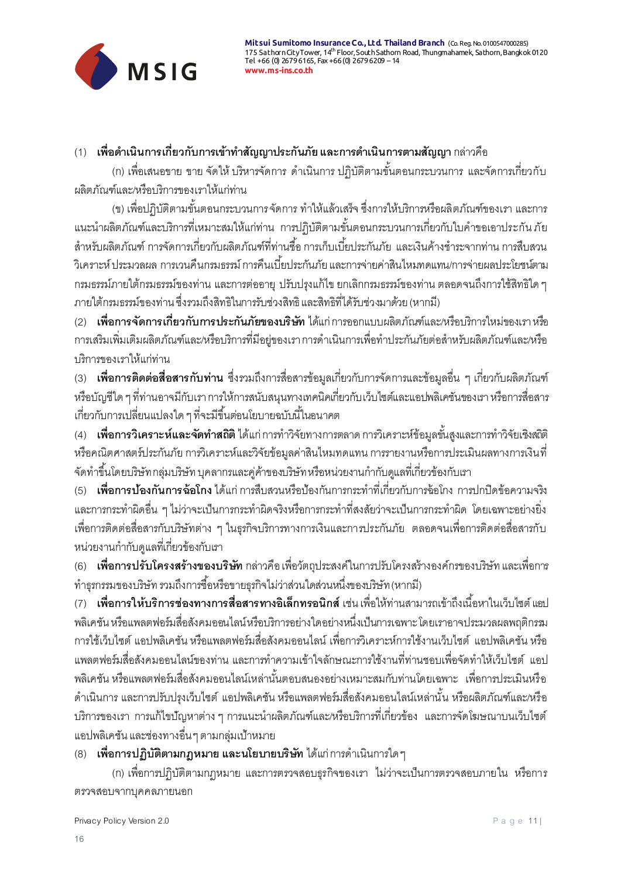

# (1) **เพื่อดำเนินการเกี่ยวกับการเข้าทำสัญญาประกันภัย และการดำเนินการตามสัญญา** กล่าวคือ

(ก) เพื่อเสนอขาย ขาย จัดให้ บริหารจัดการ ดำเนินการ ปฏิบัติตามขั้นตอนกระบวนการ และจัดการเกี่ยวกับ ผลิตภัณฑ์และ/หรือบริกำรของเรำให้แก่ท่ำน

(ข) เพื่อปฏิบัติตามขั้นตอนกระบวนการ จัดการ ทำให้แล้วเสร็จ ซึ่งการให้บริการหรือผลิตภัณฑ์ของเรา และการ แนะนำผลิตภัณฑ์และบริการที่เหมาะสมให้แก่ท่าน การปฏิบัติตามขั้นตอนกระบวนการเกี่ยวกับใบคำขอเอาประกัน ภัย ้ สำหรับผลิตภัณฑ์ การจัดการเกี่ยวกับผลิตภัณฑ์ที่ท่านซื้อ การเก็บเบี้ยประกันภัย และเงินค้างชำระจากท่าน การสืบสวน ้วิเคราะห์ ประมวลผล การเวนคืนกรมธรรม์ การคืนเบี้ยประกันภัย และการจ่ายค่าสินไหมทดแทน/การจ่ายผลประโยชน์ตาม กรมธรรม์ภำยใต้กรมธรรม์ของท่ำน และกำรต่ออำยุ ปรับปรุงแก้ไข ยกเลิกกรมธรรม์ของท่ำน ตลอดจนถึงกำรใช้สิทธิใด ๆ ภำยใต้กรมธรรม์ของท่ำน ซึ่งรวมถึงสิทธิในกำรรับช่วงสิทธิ และสิทธิที่ได้รับช่วงมำด้วย (หำกมี)

(2) **เพื่อการจัดการเกี่ยวกับการประกันภัยของบริษัท** ได้แก่ กำรออกแบบผลิตภัณฑ์และ/หรือบริกำรใหม่ของเรำ หรือ การเสริมเพิ่มเติมผลิตภัณฑ์และ/หรือบริการที่มีอยู่ของเรา การดำเนินการเพื่อทำประกันภัยต่อสำหรับผลิตภัณฑ์และ/หรือ บริกำรของเรำให้แก่ท่ำน

(3) **เพื่อการติดต่อสื่อสารกับท่าน** ซึ่งรวมถึงกำรสื่อสำรข้อมูลเกี่ยวกับกำรจัดกำรและข้อมูลอื่น ๆ เกี่ยวกับผลิตภัณฑ์ หรือบัญชีใด ๆ ที่ท่ำนอำจมีกับเรำ กำรให้กำรสนับสนุนทำงเทคนิคเกี่ยวกับเว็บไซต์และแอปพลิเคชันของเรำ หรือกำรสื่อสำร เกี่ยวกับการเปลี่ยนแปลงใด ๆ ที่จะมีขึ้นต่อนโยบายฉบับนี้ในอนาคต

ี (4) **เพื่อการวิเคราะห์และจัดทำสถิติ** ได้แก่ การทำวิจัยทางการตลาด การวิเคราะห์ข้อมูลขั้นสูงและการทำวิจัยเชิงสถิติ หรือคณิตศำสตร์ประกันภัย กำรวิเครำะห์และวิจัยข้อมูลค่ำสินไหมทดแทน กำรรำยงำนหรือกำรประเมินผลทำงกำรเงินที่ ้จัดทำขึ้นโดยบริษัท กลุ่มบริษัท บุคลากรและคู่ค้าของบริษัท หรือหน่วยงานกำกับดูแลที่เกี่ยวข้องกับเรา

(5) **เพื่อการป้องกันการฉ้อโกง** ได้แก่ กำรสืบสวนหรือป้องกันกำรกระท ำที่เกี่ยวกับกำรฉ้อโกง กำรปกปิดข้อควำมจริง และการกระทำผิดอื่น ๆ ไม่ว่าจะเป็นการกระทำผิดจริงหรือการกระทำที่สงสัยว่าจะเป็นการกระทำผิด โดยเฉพาะอย่างยิ่ง เพื่อกำรติดต่อสื่อสำรกับบริษัทต่ำง ๆ ในธุรกิจบริกำรทำงกำรเงินและกำรประกันภัย ตลอดจนเพื่อกำรติดต่อสื่อสำรกับ ้ หน่วยงานกำกับดูแลที่เกี่ยวข้องกับเรา

(6) **เพื่อการปรับโครงสร้างของบริษัท** กล่ำวคือ เพื่อวัตถุประสงค์ในกำรปรับโครงสร้ำงองค์กรของบริษัท และเพื่อกำร ้ทำธุรกรรมของบริษัท รวมถึงการซื้อหรือขายธุรกิจไม่ว่าส่วนใดส่วนหนึ่งของบริษัท (หากมี)

(7) **เพื่อการให้บริการช่องทางการสื่อสารทางอิเล็กทรอนิกส์** เช่น เพื่อให้ท่ำนสำมำรถเข้ำถึงเนื ้อหำในเว็บไซต์ แอป พลิเคชัน หรือแพลตฟอร์มสื่อสังคมออนไลน์ หรือบริกำรอย่ำงใดอย่ำงหนึ่งเป็นกำรเฉพำะ โดยเรำอำจประมวลผลพฤติกรรม กำรใช้เว็บไซต์ แอปพลิเคชัน หรือแพลตฟอร์มสื่อสังคมออนไลน์ เพื่อกำรวิเครำะห์กำรใช้งำนเว็บไซต์ แอปพลิเคชัน หรือ แพลตฟอร์มสื่อสังคมออนไลน์ของท่าน และการทำความเข้าใจลักษณะการใช้งานที่ท่านชอบเพื่อจัดทำให้เว็บไซต์ แอป พลิเคชัน หรือแพลตฟอร์มสื่อสังคมออนไลน์เหล่านั้นตอบสนองอย่างเหมาะสมกับท่านโดยเฉพาะ เพื่อการประเมินหรือ ด ำเนินกำร และกำรปรับปรุงเว็บไซต์ แอปพลิเคชัน หรือแพลตฟอร์มสื่อสังคมออนไลน์เหล่ำนั ้น หรือผลิตภัณฑ์และ/หรือ ้บริการของเรา การแก้ไขปัญหาต่าง ๆ การแนะนำผลิตภัณฑ์และ/หรือบริการที่เกี่ยวข้อง และการจัดโฆษณาบนเว็บไซต์ แอปพลิเคชัน และช่องทำงอื่น ๆ ตำมกลุ่มเป้ำหมำย

## (8) **เพื่อการปฏิบัติตามกฎหมาย และนโยบายบริษัท** ได้แก่ กำรด ำเนินกำรใด ๆ

(ก) เพื่อกำรปฏิบัติตำมกฎหมำย และกำรตรวจสอบธุรกิจของเรำ ไม่ว่ำจะเป็นกำรตรวจสอบภำยใน หรือกำร ตรวจสอบจำกบุคคลภำยนอก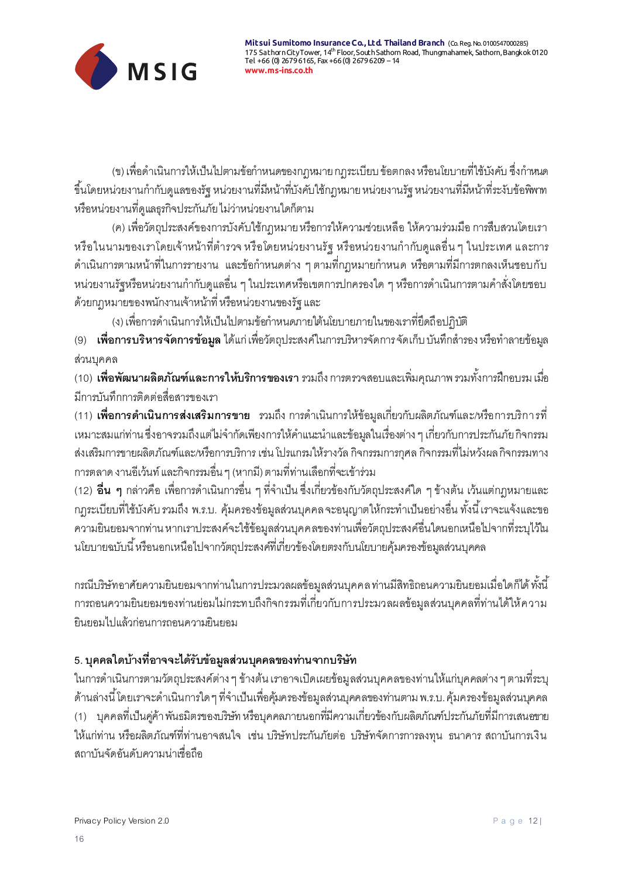

(ข) เพื่อดำเนินการให้เป็นไปตามข้อกำหนดของกฦหมาย กฦระเบียบ ข้อตกลง หรือนโยบายที่ใช้บังคับ ซึ่งกำหนด ขึ้นโดยหน่วยงานกำกับดูแลของรัฐ หน่วยงานที่มีหน้าที่บังคับใช้กฎหมาย หน่วยงานรัฐ หน่วยงานที่มีหน้าที่ระงับข้อพิพาท หรือหน่วยงำนที่ดูแลธุรกิจประกันภัย ไม่ว่ำหน่วยงำนใดก็ตำม

(ค) เพื่อวัตถุประสงค์ของกำรบังคับใช้กฎหมำย หรือกำรให้ควำมช่วยเหลือ ให้ควำมร่วมมือ กำรสืบสวนโดยเรำ หรือในนามของเราโดยเจ้าหน้าที่ตำรวจ หรือโดยหน่วยงานรัฐ หรือหน่วยงานกำกับดูแลอื่น ๆ ในประเทศ และการ ้ ดำเนินการตามหน้าที่ในการรายงาน และข้อกำหนดต่าง ๆ ตามที่กฎหมายกำหนด หรือตามที่มีการตกลงเห็นชอบกับ หน่วยงานรัฐหรือหน่วยงานกำกับดูแลอื่น ๆ ในประเทศหรือเขตการปกครองใด ๆ หรือการดำเนินการตามคำสั่งโดยชอบ ด้วยกฎหมำยของพนักงำนเจ้ำหน้ำที่ หรือหน่วยงำนของรัฐ และ

(ง) เพื่อการดำเนินการให้เป็นไปตามข้อกำหนดภายใต้นโยบายภายในของเราที่ยึดถือปฏิบัติ

(9) **เพื่อการบริหารจัดการข้อมูล** ได้แก่ เพื่อวัตถุประสงค์ในการบริหารจัดการจัดเก็บ บันทึกสำรอง หรือทำลายข้อมูล ส่วนบุคคล

(10) **เพื่อพัฒนาผลิตภัณฑ์และการให้บริการของเรา** รวมถึง การตรวจสอบและเพิ่มคุณภาพ*ร*วมทั้งการฝึกอบรม เมื่อ มีกำรบันทึกกำรติดต่อสื่อสำรของเรำ

(11) **เพื่อการดำเนินการส่งเสริมการขาย** รวมถึง การดำเนินการให้ข้อมูลเกี่ยวกับผลิตภัณฑ์แล*ะ/*หรือการบริกา*ร*ที่ ่ เหมาะสมแก่ท่าน ซึ่งอาจรวมถึงแต่ไม่จำกัดเพียงการให้คำแนะนำและข้อมูลในเรื่องต่าง ๆ เกี่ยวกับการประกันภัย กิจกรรม ส่งเสริมกำรขำยผลิตภัณฑ์และ/หรือกำรบริกำร เช่น โปรแกรมให้รำงวัล กิจกรรมกำรกุศล กิจกรรมที่ไม่หวังผล กิจกรรมทำง กำรตลำด งำนอีเว้นท์ และกิจกรรมอื่น ๆ (หำกมี) ตำมที่ท่ำนเลือกที่จะเข้ำร่วม

(12) **อื่น ๆ** กล่าวคือ เพื่อการดำเนินการอื่น ๆ ที่จำเป็น ซึ่งเกี่ยวข้องกับวัตถุประสงค์ใด ๆ ข้างต้น เว้นแต่กฎหมายและ กฎระเบียบที่ใช้บังคับ รวมถึง พ.ร.บ. คุ้มครองข้อมูลส่วนบุคคล จะอนุญาตให้กระทำเป็นอย่างอื่น ทั้งนี้ เราจะแจ้งและขอ ควำมยินยอมจำกท่ำน หำกเรำประสงค์จะใช้ข้อมูลส่วนบุคคลของท่ำนเพื่อวัตถุประสงค์อื่นใดนอกเหนือไปจำกที่ระบุไว้ใน นโยบำยฉบับนี ้หรือนอกเหนือไปจำกวัตถุประสงค์ที่เกี่ยวข้องโดยตรงกับนโยบำยคุ้มครองข้อมูลส่วนบุคคล

กรณีบริษัทอาศัยความยินยอมจากท่านในการประมวลผลข้อมูลส่วนบุคคล ท่านมีสิทธิถอนความยินยอมเมื่อใดก็ได้ ทั้งนี้ กำรถอนควำมยินยอมของท่ำนย่อมไม่กระทบถึงกิจกรรมที่เกี่ยวกับกำรประมวลผลข้อมูลส่วนบุคคลที่ท่ำนได้ให้ควำม ยินยอมไปแล้วก่อนกำรถอนควำมยินยอม

# **5. บุคคลใดบ้างที่อาจจะได้รับข้อมูลส่วนบุคคลของท่านจากบริษัท**

ในกำรด ำเนินกำรตำมวัตถุประสงค์ต่ำง ๆ ข้ำงต้น เรำอำจเปิดเผยข้อมูลส่วนบุคคลของท่ำนให้แก่บุคคลต่ำง ๆ ตำมที่ระบุ ด้านล่างนี้ โดยเราจะดำเนินการใด ๆ ที่จำเป็นเพื่อคุ้มครองข้อมูลส่วนบุคคลของท่านตาม พ.ร.บ. คุ้มครองข้อมูลส่วนบุคคล (1) บุคคลที่เป็นคู่ค้ำ พันธมิตรของบริษัท หรือบุคคลภำยนอกที่มีควำมเกี่ยวข้องกับผลิตภัณฑ์ประกันภัยที่มีกำรเสนอขำย ให้แก่ท่ำน หรือผลิตภัณฑ์ที่ท่ำนอำจสนใจ เช่น บริษัทประกันภัยต่อ บริษัทจัดกำรกำรลงทุน ธนำคำร สถำบันกำรเงิน สถำบันจัดอันดับควำมน่ำเชื่อถือ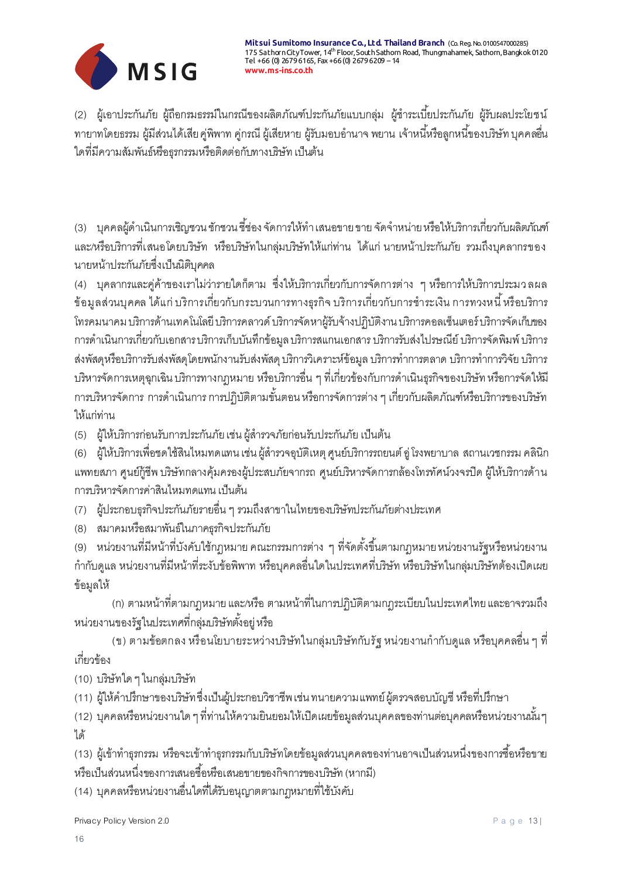

(2) ผู้เอาประกันภัย ผู้ถือกรมธรรม์ในกรณีของผลิตภัณฑ์ประกันภัยแบบกลุ่ม ผู้ชำระเบี้ยประกันภัย ผู้รับผลประโยชน์ ทายาทโดยธรรม ผู้มีส่วนได้เสีย คู่พิพาท คู่กรณี ผู้เสียหาย ผู้รับมอบอำนาจ พยาน เจ้าหนี้หรือลูกหนี้ของบริษัท บุคคลอื่น ใดที่มีควำมสัมพันธ์หรือธุรกรรมหรือติดต่อกับทำงบริษัท เป็นต้น

้ (3) บุคคลผู้ดำเนินการเชิญชวน ชักชวน ชี้ช่อง จัดการให้ทำ เสนอขาย ขาย จัดจำหน่าย หรือให้บริการเกี่ยวกับผลิตภัณฑ์ และ/หรือบริกำรที่เสนอโดยบริษัท หรือบริษัทในกลุ่มบริษัทให้แก่ท่ำน ได้แก่ นำยหน้ำประกันภัย รวมถึงบุคลำกรของ นำยหน้ำประกันภัยซึ่งเป็นนิติบุคคล

(4) บุคลำกรและคู่ค้ำของเรำไม่ว่ำรำยใดก็ตำม ซึ่งให้บริกำรเกี่ยวกับกำรจัดกำรต่ำง ๆ หรือกำรให้บริกำรประมว ลผล ข้อมูลส่วนบุคคล ได้แก่ บริการเกี่ยวกับกระบวนการทางธุรกิจ บริการเกี่ยวกับการชำระเงิน การทวงหนี้ หรือบริการ โทรคมนำคม บริกำรด้ำนเทคโนโลยี บริกำรคลำวด์ บริกำรจัดหำผู้รับจ้ำงปฏิบัติงำน บริกำรคอลเซ็นเตอร์ บริกำรจัดเก็บของ กำรด ำเนินกำรเกี่ยวกับเอกสำร บริกำรเก็บบันทึกข้อมูล บริกำรสแกนเอกสำร บริกำรรับส่งไปรษณีย์ บริกำรจัดพิมพ์ บริกำร ส่งพัสดุหรือบริการรับส่งพัสดุโดยพนักงานรับส่งพัสดุ บริการวิเคราะห์ข้อมูล บริการทำการตลาด บริการทำการวิจัย บริการ บริหำรจัดกำรเหตุฉุกเฉิน บริกำรทำงกฎหมำย หรือบริกำรอื่น ๆ ที่เกี่ยวข้องกับกำรด ำเนินธุรกิจของบริษัท หรือกำรจัดให้มี การบริหารจัดการ การดำเนินการ การปฏิบัติตามขั้นตอน หรือการจัดการต่าง ๆ เกี่ยวกับผลิตภัณฑ์หรือบริการของบริษัท ให้แก่ท่ำน

(5) ผู้ให้บริการก่อนรับการประกันภัย เช่น ผู้สำรวจภัยก่อนรับประกันภัย เป็นต้น

(6) ผู้ให้บริการเพื่อชดใช้สินไหมทดแทน เช่น ผู้สำรวจอุบัติเหตุ ศูนย์บริการรถยนต์ อู่ โรงพยาบาล สถานเวชกรรม คลินิก แพทยสภำ ศูนย์กู้ชีพ บริษัทกลำงคุ้มครองผู้ประสบภัยจำกรถ ศูนย์บริหำรจัดกำรกล้องโทรทัศน์วงจรปิด ผู้ให้บริกำรด้ำน กำรบริหำรจัดกำรค่ำสินไหมทดแทน เป็นต้น

(7) ผู้ประกอบธุรกิจประกันภัยรำยอื่น ๆ รวมถึงสำขำในไทยของบริษัทประกันภัยต่ำงประเทศ

(8) สมำคมหรือสมำพันธ์ในภำคธุรกิจประกันภัย

(9) หน่วยงำนที่มีหน้ำที่บังคับใช้กฎหมำย คณะกรรมกำรต่ำง ๆ ที่จัดตั ้งขึ ้นตำมกฎหมำย หน่วยงำนรัฐหรือหน่วยงำน ก ำกับดูแล หน่วยงำนที่มีหน้ำที่ระงับข้อพิพำท หรือบุคคลอื่นใดในประเทศที่บริษัท หรือบริษัทในกลุ่มบริษัทต้องเปิดเผย ข้อมูลให้

(ก) ตำมหน้ำที่ตำมกฎหมำย และ/หรือ ตำมหน้ำที่ในกำรปฏิบัติตำมกฎระเบียบในประเทศไทย และอำจรวมถึง หน่วยงานของรัฐในประเทศที่กลุ่มบริษัทตั้งอยู่ หรือ

(ข) ตามข้อตกลง หรือนโยบายระหว่างบริษัทในกลุ่มบริษัทกับรัฐ หน่วยงานกำกับดูแล หรือบุคคลอื่น ๆ ที่ เกี่ยวข้อง

(10) บริษัทใด ๆ ในกลุ่มบริษัท

(11) ผู้ให้คำปริ์กษาของบริษัท ซึ่งเป็นผู้ประกอบวิชาชีพ เช่น ทนายความแพทย์ ผู้ตรวจสอบบัญชี หรือที่ปริ์กษา

(12) บุคคลหรือหน่วยงานใด ๆ ที่ท่านให้ความยินยอมให้เปิดเผยข้อมูลส่วนบุคคลของท่านต่อบุคคลหรือหน่วยงานนั้นๆ ได้

(13) ผู้เข้าทำธุรกรรม หรือจะเข้าทำธุรกรรมกับบริษัทโดยข้อมูลส่วนบุคคลของท่านอาจเป็นส่วนหนึ่งของการซื้อหรือขาย หรือเป็นส่วนหนึ่งของการเสนอชื่อหรือเสนอขายของกิจการของบริษัท (หากมี่)

(14) บุคคลหรือหน่วยงำนอื่นใดที่ได้รับอนุญำตตำมกฎหมำยที่ใช้บังคับ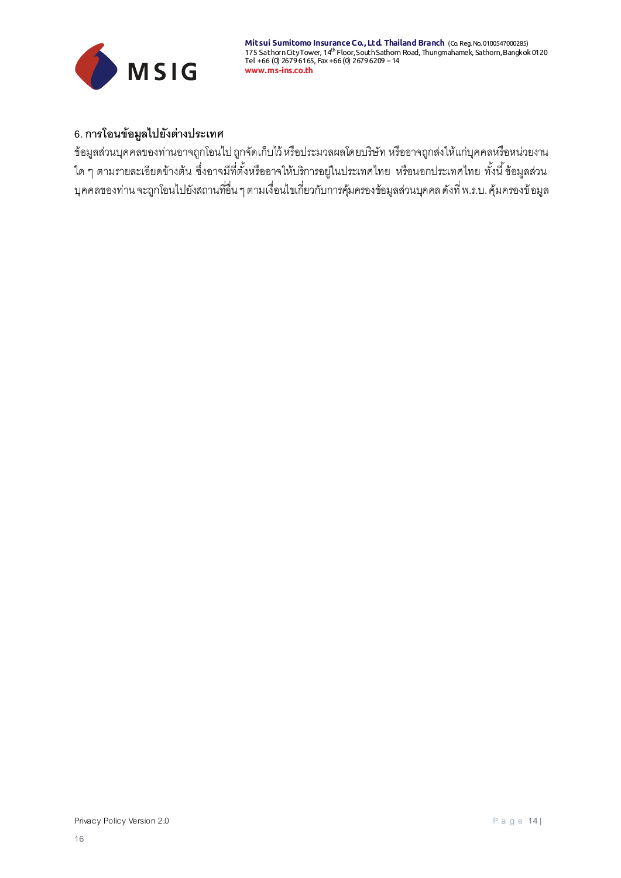

# **6. การโอนข้อมูลไปยังต่างประเทศ**

ข้อมูลส่วนบุคคลของท่ำนอำจถูกโอนไป ถูกจัดเก็บไว้ หรือประมวลผลโดยบริษัท หรืออำจถูกส่งให้แก่บุคคลหรือหน่วยงำน ใด ๆ ตามรายละเอียดข้างต้น ซึ่งอาจมีที่ตั้งหรืออาจให้บริการอยู่ในประเทศไทย หรือนอกประเทศไทย ทั้งนี้ ข้อมูลส่วน บุคคลของท่ำน จะถูกโอนไปยังสถำนที่อื่น ๆ ตำมเงื่อนไขเกี่ยวกับกำรคุ้มครองข้อมูลส่วนบุคคล ดังที่ พ.ร.บ. คุ้มครองข้อมูล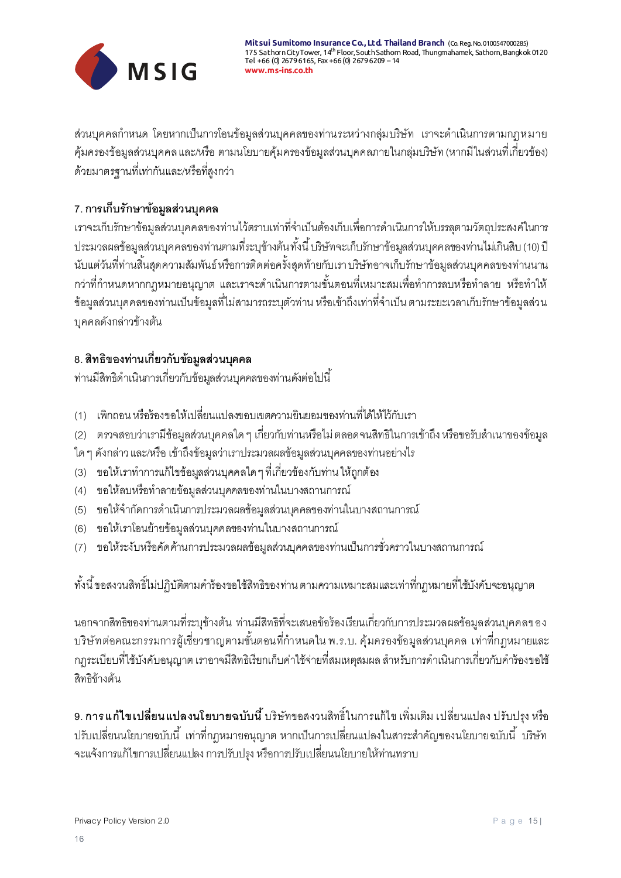

ส่วนบุคคลกำหนด โดยหากเป็นการโอนข้อมูลส่วนบุคคลของท่านระหว่างกลุ่มบริษัท เราจะดำเนินการตามกฎหมาย คุ้มครองข้อมูลส่วนบุคคล และ/หรือ ตำมนโยบำยคุ้มครองข้อมูลส่วนบุคคลภำยในกลุ่มบริษัท (หำกมีในส่วนที่เกี่ยวข้อง) ด้วยมำตรฐำนที่เท่ำกันและ/หรือที่สูงกว่ำ

# **7. การเก็บรักษาข้อมูลส่วนบุคคล**

เราจะเก็บรักษาข้อมูลส่วนบุคคลของท่านไว้ตราบเท่าที่จำเป็นต้องเก็บเพื่อการดำเนินการให้บรรลุตามวัตถุประสงค์ในการ ประมวลผลข้อมูลส่วนบุคคลของท่านตามที่ระบุข้างต้น ทั้งนี้ บริษัทจะเก็บรักษาข้อมูลส่วนบุคคลของท่านไม่เกินสิบ (10) ปี นับแต่วันที่ท่ำนสิ ้นสุดควำมสัมพันธ์ หรือกำรติดต่อครั้งสุดท้ำยกับเรำ บริษัทอำจเก็บรักษำข้อมูลส่วนบุคคลของท่ำนนำน ึกว่าที่กำหนดหากกฎหมายอนุญาต และเราจะดำเนินการตามขั้นตอนที่เหมาะสมเพื่อทำการลบหรือทำลาย หรือทำให้ ข้อมูลส่วนบุคคลของท่านเป็นข้อมูลที่ไม่สามารถระบุตัวท่าน หรือเข้าถึงเท่าที่จำเป็น ตามระยะเวลาเก็บรักษาข้อมูลส่วน บุคคลดังกล่ำวข้ำงต้น

## **8. สิทธิของท่านเกี่ยวกับข้อมูลส่วนบุคคล**

้ ท่านมีสิทธิดำเนินการเกี่ยวกับข้อมูลส่วนบุคคลของท่านดังต่อไปนี้

- (1) เพิกถอน หรือร้องขอให้เปลี่ยนแปลงขอบเขตควำมยินยอมของท่ำนที่ได้ให้ไว้กับเรำ
- (2) ตรวจสอบว่าเรามีข้อมูลส่วนบุคคลใด ๆ เกี่ยวกับท่านหรือไม่ ตลอดจนสิทธิในการเข้าถึง หรือขอรับสำเนาของข้อมูล
- ใด ๆ ดังกล่ำว และ/หรือ เข้ำถึงข้อมูลว่ำเรำประมวลผลข้อมูลส่วนบุคคลของท่ำนอย่ำงไร
- (3) ขอให้เราทำการแก้ไขข้อมูลส่วนบุคคลใด ๆ ที่เกี่ยวข้องกับท่าน ให้ถูกต้อง
- (4) ขอให้ลบหรือทำลายข้อมูลส่วนบุคคลของท่านในบางสถานการณ์
- (5) ขอให้จำกัดการดำเนินการประมวลผลข้อมูลส่วนบุคคลของท่านในบางสถานการณ์
- (6) ขอให้เรำโอนย้ำยข้อมูลส่วนบุคคลของท่ำนในบำงสถำนกำรณ์
- (7) ขอให้ระงับหรือคัดค้ำนกำรประมวลผลข้อมูลส่วนบุคคลของท่ำนเป็นกำรชั่วครำวในบำงสถำนกำรณ์

ทั้งนี้ ขอสงวนสิทธิ์ไม่ปฏิบัติตามคำร้องขอใช้สิทธิของท่าน ตามความเหมาะสมและเท่าที่กฎหมายที่ใช้บังคับจะอนุญาต

นอกจากสิทธิของท่านตามที่ระบข้างต้น ท่านมีสิทธิที่จะเสนอข้อร้องเรียนเกี่ยวกับการประมวลผลข้อมลส่วนบคคลของ บริษัทต่อคณะกรรมการผู้เชี่ยวชาญตามขั้นตอนที่กำหนดใน พ.ร.บ. คุ้มครองข้อมูลส่วนบุคคล เท่าที่กฎหมายและ ึกฎระเบียบที่ใช้บังคับอนุญาต เราอาจมีสิทธิเรียกเก็บค่าใช้จ่ายที่สมเหตุสมผล สำหรับการดำเนินการเกี่ยวกับคำร้องขอใช้ สิทธิข้ำงต้น

**9. การแก้ไขเปลี่ยนแปลงนโยบายฉบับนี้**บริษัทขอสงวนสิทธิ์ในกำรแก้ไขเพิ่มเติม เปลี่ยนแปลง ปรับปรุง หรือ ้ ปรับเปลี่ยนนโยบายฉบับนี้ เท่าที่กฎหมายอนุญาต หากเป็นการเปลี่ยนแปลงในสาระสำคัญของนโยบายฉบับนี้ บริษัท จะแจ้งกำรแก้ไขกำรเปลี่ยนแปลง กำรปรับปรุง หรือกำรปรับเปลี่ยนนโยบำยให้ท่ำนทรำบ